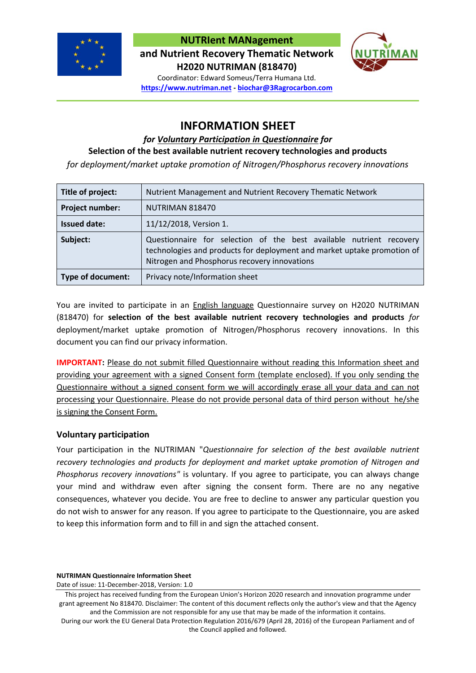

**NUTRIent MANagement**

**and Nutrient Recovery Thematic Network H2020 NUTRIMAN (818470)**



Coordinator: Edward Someus/Terra Humana Ltd. **https://www.nutriman.net - biochar@3Ragrocarbon.com**

# **INFORMATION SHEET**

## *for Voluntary Participation in Questionnaire for*

## **Selection of the best available nutrient recovery technologies and products**

*for deployment/market uptake promotion of Nitrogen/Phosphorus recovery innovations*

| Title of project:        | Nutrient Management and Nutrient Recovery Thematic Network                                                                                                                                     |
|--------------------------|------------------------------------------------------------------------------------------------------------------------------------------------------------------------------------------------|
| Project number:          | NUTRIMAN 818470                                                                                                                                                                                |
| <b>Issued date:</b>      | 11/12/2018, Version 1.                                                                                                                                                                         |
| Subject:                 | Questionnaire for selection of the best available nutrient recovery<br>technologies and products for deployment and market uptake promotion of<br>Nitrogen and Phosphorus recovery innovations |
| <b>Type of document:</b> | Privacy note/Information sheet                                                                                                                                                                 |

You are invited to participate in an English language Questionnaire survey on H2020 NUTRIMAN (818470) for **selection of the best available nutrient recovery technologies and products** *for*  deployment/market uptake promotion of Nitrogen/Phosphorus recovery innovations. In this document you can find our privacy information.

**IMPORTANT:** Please do not submit filled Questionnaire without reading this Information sheet and providing your agreement with a signed Consent form (template enclosed). If you only sending the Questionnaire without a signed consent form we will accordingly erase all your data and can not processing your Questionnaire. Please do not provide personal data of third person without he/she is signing the Consent Form.

## **Voluntary participation**

Your participation in the NUTRIMAN "*Questionnaire for selection of the best available nutrient recovery technologies and products for deployment and market uptake promotion of Nitrogen and Phosphorus recovery innovations"* is voluntary. If you agree to participate, you can always change your mind and withdraw even after signing the consent form. There are no any negative consequences, whatever you decide. You are free to decline to answer any particular question you do not wish to answer for any reason. If you agree to participate to the Questionnaire, you are asked to keep this information form and to fill in and sign the attached consent.

**NUTRIMAN Questionnaire Information Sheet**

Date of issue: 11-December-2018, Version: 1.0

This project has received funding from the European Union's Horizon 2020 research and innovation programme under grant agreement No 818470. Disclaimer: The content of this document reflects only the author's view and that the Agency and the Commission are not responsible for any use that may be made of the information it contains.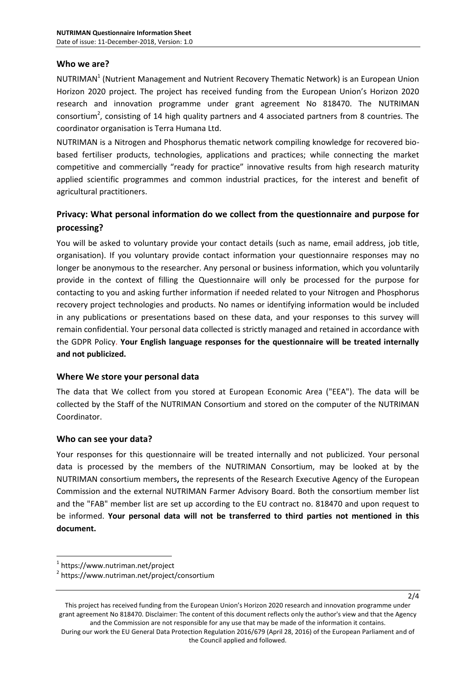## **Who we are?**

NUTRIMAN<sup>1</sup> (Nutrient Management and Nutrient Recovery Thematic Network) is an European Union Horizon 2020 project. The project has received funding from the European Union's Horizon 2020 research and innovation programme under grant agreement No 818470. The NUTRIMAN consortium<sup>2</sup>, consisting of 14 high quality partners and 4 associated partners from 8 countries. The coordinator organisation is Terra Humana Ltd.

NUTRIMAN is a Nitrogen and Phosphorus thematic network compiling knowledge for recovered biobased fertiliser products, technologies, applications and practices; while connecting the market competitive and commercially "ready for practice" innovative results from high research maturity applied scientific programmes and common industrial practices, for the interest and benefit of agricultural practitioners.

## **Privacy: What personal information do we collect from the questionnaire and purpose for processing?**

You will be asked to voluntary provide your contact details (such as name, email address, job title, organisation). If you voluntary provide contact information your questionnaire responses may no longer be anonymous to the researcher. Any personal or business information, which you voluntarily provide in the context of filling the Questionnaire will only be processed for the purpose for contacting to you and asking further information if needed related to your Nitrogen and Phosphorus recovery project technologies and products. No names or identifying information would be included in any publications or presentations based on these data, and your responses to this survey will remain confidential. Your personal data collected is strictly managed and retained in accordance with the GDPR Policy. **Your English language responses for the questionnaire will be treated internally and not publicized.**

## **Where We store your personal data**

The data that We collect from you stored at European Economic Area ("EEA"). The data will be collected by the Staff of the NUTRIMAN Consortium and stored on the computer of the NUTRIMAN Coordinator.

## **Who can see your data?**

Your responses for this questionnaire will be treated internally and not publicized. Your personal data is processed by the members of the NUTRIMAN Consortium, may be looked at by the NUTRIMAN consortium members**,** the represents of the Research Executive Agency of the European Commission and the external NUTRIMAN Farmer Advisory Board. Both the consortium member list and the "FAB" member list are set up according to the EU contract no. 818470 and upon request to be informed. **Your personal data will not be transferred to third parties not mentioned in this document.**

1

2/4

<sup>1</sup> https://www.nutriman.net/project

<sup>2</sup> https://www.nutriman.net/project/consortium

This project has received funding from the European Union's Horizon 2020 research and innovation programme under grant agreement No 818470. Disclaimer: The content of this document reflects only the author's view and that the Agency and the Commission are not responsible for any use that may be made of the information it contains.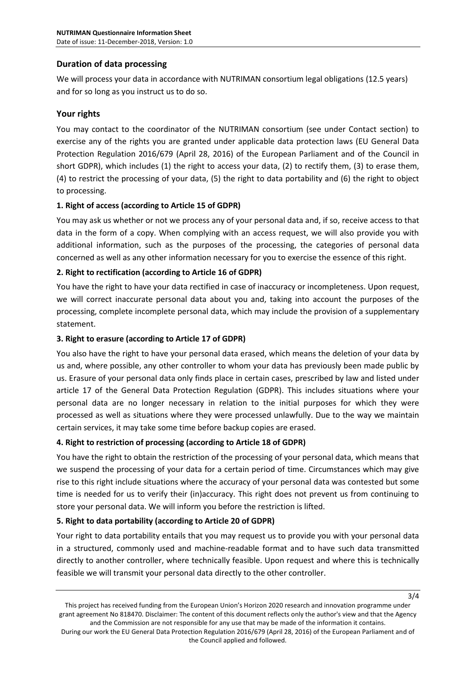## **Duration of data processing**

We will process your data in accordance with NUTRIMAN consortium legal obligations (12.5 years) and for so long as you instruct us to do so.

## **Your rights**

You may contact to the coordinator of the NUTRIMAN consortium (see under Contact section) to exercise any of the rights you are granted under applicable data protection laws (EU General Data Protection Regulation 2016/679 (April 28, 2016) of the European Parliament and of the Council in short GDPR), which includes (1) the right to access your data, (2) to rectify them, (3) to erase them, (4) to restrict the processing of your data, (5) the right to data portability and (6) the right to object to processing.

## **1. Right of access (according to Article 15 of GDPR)**

You may ask us whether or not we process any of your personal data and, if so, receive access to that data in the form of a copy. When complying with an access request, we will also provide you with additional information, such as the purposes of the processing, the categories of personal data concerned as well as any other information necessary for you to exercise the essence of this right.

## **2. Right to rectification (according to Article 16 of GDPR)**

You have the right to have your data rectified in case of inaccuracy or incompleteness. Upon request, we will correct inaccurate personal data about you and, taking into account the purposes of the processing, complete incomplete personal data, which may include the provision of a supplementary statement.

## **3. Right to erasure (according to Article 17 of GDPR)**

You also have the right to have your personal data erased, which means the deletion of your data by us and, where possible, any other controller to whom your data has previously been made public by us. Erasure of your personal data only finds place in certain cases, prescribed by law and listed under article 17 of the General Data Protection Regulation (GDPR). This includes situations where your personal data are no longer necessary in relation to the initial purposes for which they were processed as well as situations where they were processed unlawfully. Due to the way we maintain certain services, it may take some time before backup copies are erased.

## **4. Right to restriction of processing (according to Article 18 of GDPR)**

You have the right to obtain the restriction of the processing of your personal data, which means that we suspend the processing of your data for a certain period of time. Circumstances which may give rise to this right include situations where the accuracy of your personal data was contested but some time is needed for us to verify their (in)accuracy. This right does not prevent us from continuing to store your personal data. We will inform you before the restriction is lifted.

## **5. Right to data portability (according to Article 20 of GDPR)**

Your right to data portability entails that you may request us to provide you with your personal data in a structured, commonly used and machine-readable format and to have such data transmitted directly to another controller, where technically feasible. Upon request and where this is technically feasible we will transmit your personal data directly to the other controller.

3/4